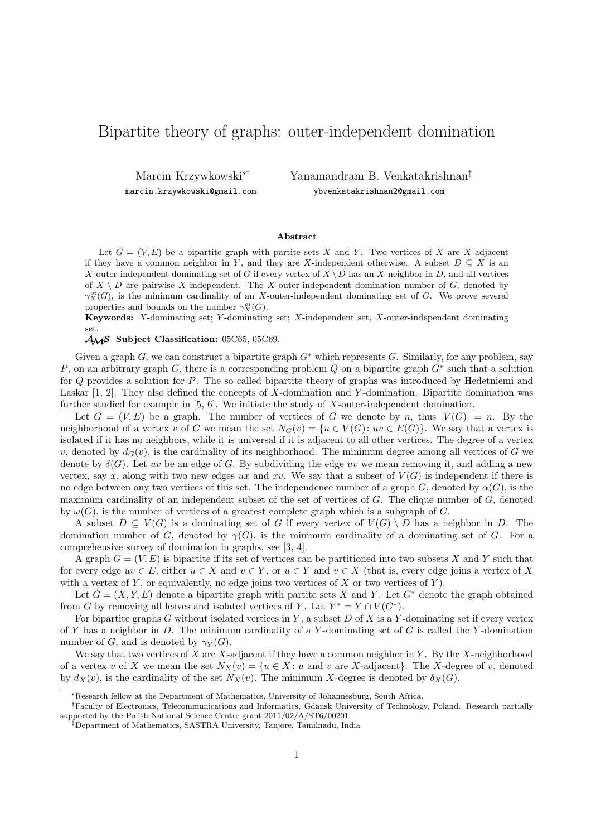## Bipartite theory of graphs: outer-independent domination

Marcin Krzywkowski∗† marcin.krzywkowski@gmail.com Yanamandram B. Venkatakrishnan‡ ybvenkatakrishnan2@gmail.com

## **Abstract**

Let  $G = (V, E)$  be a bipartite graph with partite sets X and Y. Two vertices of X are X-adjacent if they have a common neighbor in Y, and they are X-independent otherwise. A subset  $D \subseteq X$  is an X-outer-independent dominating set of G if every vertex of  $X \ D$  has an X-neighbor in D, and all vertices of  $X \setminus D$  are pairwise X-independent. The X-outer-independent domination number of G, denoted by  $\gamma_X^{oi}(G)$ , is the minimum cardinality of an X-outer-independent dominating set of G. We prove several properties and bounds on the number  $\gamma_X^{oi}(G)$ .

**Keywords:** X-dominating set; Y -dominating set; X-independent set, X-outer-independent dominating set.

AMS **Subject Classification:** 05C65, 05C69.

Given a graph G, we can construct a bipartite graph  $G^*$  which represents G. Similarly, for any problem, say P, on an arbitrary graph G, there is a corresponding problem Q on a bipartite graph  $G^*$  such that a solution for Q provides a solution for P. The so called bipartite theory of graphs was introduced by Hedetniemi and Laskar [1, 2]. They also defined the concepts of X-domination and Y -domination. Bipartite domination was further studied for example in [5, 6]. We initiate the study of X-outer-independent domination.

Let  $G = (V, E)$  be a graph. The number of vertices of G we denote by n, thus  $|V(G)| = n$ . By the neighborhood of a vertex v of G we mean the set  $N_G(v) = \{u \in V(G): uv \in E(G)\}\)$ . We say that a vertex is isolated if it has no neighbors, while it is universal if it is adjacent to all other vertices. The degree of a vertex v, denoted by  $d_G(v)$ , is the cardinality of its neighborhood. The minimum degree among all vertices of G we denote by  $\delta(G)$ . Let uv be an edge of G. By subdividing the edge uv we mean removing it, and adding a new vertex, say x, along with two new edges ux and xv. We say that a subset of  $V(G)$  is independent if there is no edge between any two vertices of this set. The independence number of a graph G, denoted by  $\alpha(G)$ , is the maximum cardinality of an independent subset of the set of vertices of  $G$ . The clique number of  $G$ , denoted by  $\omega(G)$ , is the number of vertices of a greatest complete graph which is a subgraph of G.

A subset  $D \subseteq V(G)$  is a dominating set of G if every vertex of  $V(G) \setminus D$  has a neighbor in D. The domination number of G, denoted by  $\gamma(G)$ , is the minimum cardinality of a dominating set of G. For a comprehensive survey of domination in graphs, see [3, 4].

A graph  $G = (V, E)$  is bipartite if its set of vertices can be partitioned into two subsets X and Y such that for every edge  $uv \in E$ , either  $u \in X$  and  $v \in Y$ , or  $u \in Y$  and  $v \in X$  (that is, every edge joins a vertex of X with a vertex of Y, or equivalently, no edge joins two vertices of X or two vertices of Y).

Let  $G = (X, Y, E)$  denote a bipartite graph with partite sets X and Y. Let  $G^*$  denote the graph obtained from G by removing all leaves and isolated vertices of Y. Let  $Y^* = Y \cap V(G^*)$ .

For bipartite graphs  $G$  without isolated vertices in  $Y$ , a subset  $D$  of  $X$  is a  $Y$ -dominating set if every vertex of Y has a neighbor in D. The minimum cardinality of a Y-dominating set of G is called the Y-domination number of G, and is denoted by  $\gamma_Y(G)$ .

We say that two vertices of  $X$  are  $X$ -adjacent if they have a common neighbor in  $Y$ . By the  $X$ -neighborhood of a vertex v of X we mean the set  $N_X(v) = \{u \in X : u \text{ and } v \text{ are } X\text{-adjacent}\}.$  The X-degree of v, denoted by  $d_X(v)$ , is the cardinality of the set  $N_X(v)$ . The minimum X-degree is denoted by  $\delta_X(G)$ .

<sup>∗</sup>Research fellow at the Department of Mathematics, University of Johannesburg, South Africa.

<sup>†</sup>Faculty of Electronics, Telecommunications and Informatics, Gdansk University of Technology, Poland. Research partially supported by the Polish National Science Centre grant 2011/02/A/ST6/00201.

<sup>‡</sup>Department of Mathematics, SASTRA University, Tanjore, Tamilnadu, India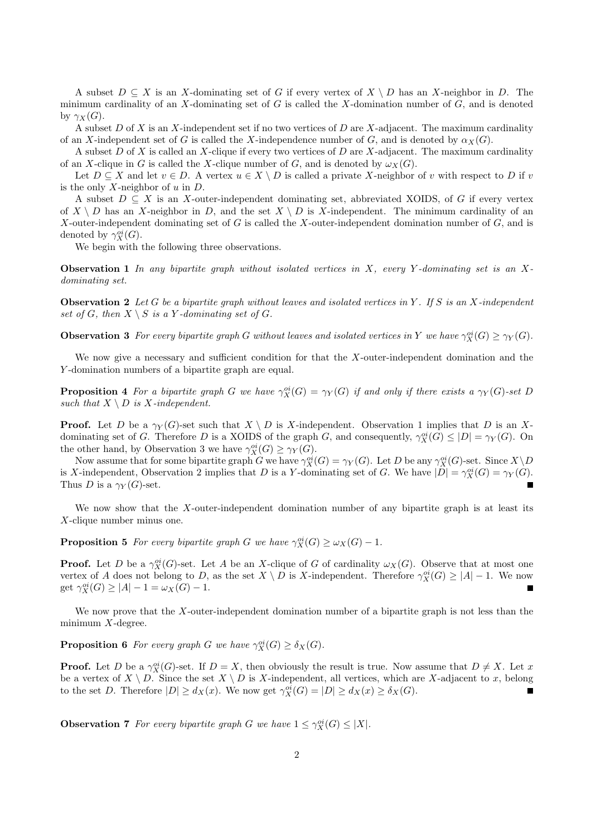A subset  $D \subseteq X$  is an X-dominating set of G if every vertex of  $X \setminus D$  has an X-neighbor in D. The minimum cardinality of an  $X$ -dominating set of  $G$  is called the  $X$ -domination number of  $G$ , and is denoted by  $\gamma_X(G)$ .

A subset D of X is an X-independent set if no two vertices of D are X-adjacent. The maximum cardinality of an X-independent set of G is called the X-independence number of G, and is denoted by  $\alpha_X(G)$ .

A subset D of X is called an X-clique if every two vertices of D are X-adjacent. The maximum cardinality of an X-clique in G is called the X-clique number of G, and is denoted by  $\omega_X(G)$ .

Let  $D \subseteq X$  and let  $v \in D$ . A vertex  $u \in X \setminus D$  is called a private X-neighbor of v with respect to D if v is the only  $X$ -neighbor of  $u$  in  $D$ .

A subset  $D \subseteq X$  is an X-outer-independent dominating set, abbreviated XOIDS, of G if every vertex of  $X \setminus D$  has an X-neighbor in D, and the set  $X \setminus D$  is X-independent. The minimum cardinality of an X-outer-independent dominating set of  $G$  is called the X-outer-independent domination number of  $G$ , and is denoted by  $\gamma_X^{oi}(G)$ .

We begin with the following three observations.

**Observation 1** *In any bipartite graph without isolated vertices in* X*, every* Y *-dominating set is an* X*dominating set.*

**Observation 2** *Let* G *be a bipartite graph without leaves and isolated vertices in* Y *. If* S *is an* X*-independent* set of G, then  $X \setminus S$  is a Y-dominating set of G.

**Observation 3** *For every bipartite graph* G *without leaves and isolated vertices in* Y *we have*  $\gamma_X^{oi}(G) \geq \gamma_Y(G)$ *.* 

We now give a necessary and sufficient condition for that the  $X$ -outer-independent domination and the Y -domination numbers of a bipartite graph are equal.

**Proposition 4** For a bipartite graph G we have  $\gamma_X^{oi}(G) = \gamma_Y(G)$  if and only if there exists a  $\gamma_Y(G)$ -set D *such that*  $X \setminus D$  *is* X-independent.

**Proof.** Let D be a  $\gamma_Y(G)$ -set such that  $X \setminus D$  is X-independent. Observation 1 implies that D is an Xdominating set of G. Therefore D is a XOIDS of the graph G, and consequently,  $\gamma_X^{oi}(G) \leq |D| = \gamma_Y(G)$ . On the other hand, by Observation 3 we have  $\gamma_X^{oi}(G) \geq \gamma_Y(G)$ .

Now assume that for some bipartite graph G we have  $\gamma_X^{oi}(G) = \gamma_Y(G)$ . Let D be any  $\gamma_X^{oi}(G)$ -set. Since  $X \setminus D$ is X-independent, Observation 2 implies that D is a Y-dominating set of G. We have  $|D| = \gamma_X^{oi}(G) = \gamma_Y(G)$ . Thus D is a  $\gamma_Y(G)$ -set.

We now show that the X-outer-independent domination number of any bipartite graph is at least its X-clique number minus one.

**Proposition 5** *For every bipartite graph G we have*  $\gamma_X^{oi}(G) \ge \omega_X(G) - 1$ *.* 

**Proof.** Let D be a  $\gamma_X^{oi}(G)$ -set. Let A be an X-clique of G of cardinality  $\omega_X(G)$ . Observe that at most one vertex of A does not belong to D, as the set  $X \setminus D$  is X-independent. Therefore  $\gamma_X^{\circ i}(G) \ge |A| - 1$ . We now get  $\gamma_X^{oi}(G) \ge |A| - 1 = \omega_X(G) - 1.$ 

We now prove that the X-outer-independent domination number of a bipartite graph is not less than the minimum  $X$ -degree.

**Proposition 6** *For every graph G we have*  $\gamma_X^{oi}(G) \ge \delta_X(G)$ *.* 

**Proof.** Let D be a  $\gamma_X^{oi}(G)$ -set. If  $D = X$ , then obviously the result is true. Now assume that  $D \neq X$ . Let x be a vertex of  $X \setminus D$ . Since the set  $X \setminus D$  is X-independent, all vertices, which are X-adjacent to x, belong to the set D. Therefore  $|D| \ge d_X(x)$ . We now get  $\gamma_X^{oi}(G) = |D| \ge d_X(x) \ge \delta_X(G)$ .

**Observation 7** *For every bipartite graph* G *we have*  $1 \leq \gamma_X^{oi}(G) \leq |X|$ *.*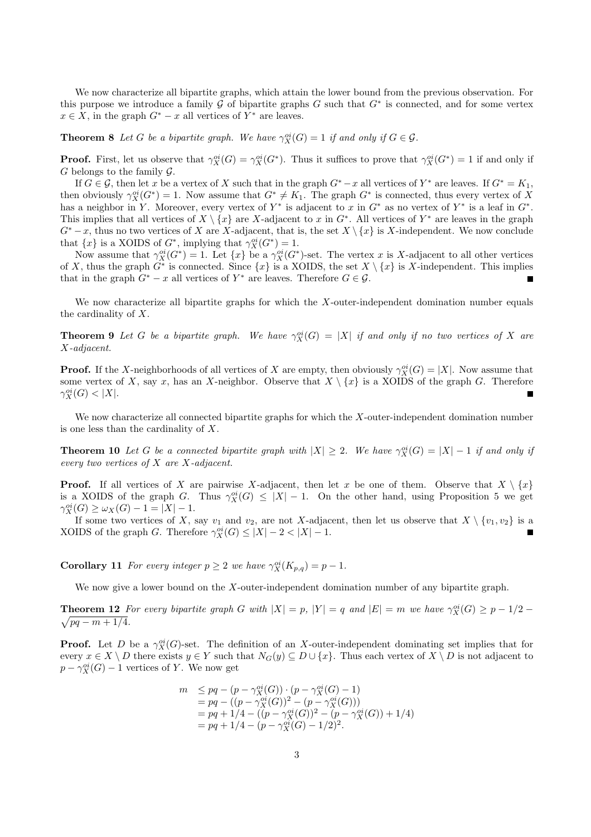We now characterize all bipartite graphs, which attain the lower bound from the previous observation. For this purpose we introduce a family  $\tilde{G}$  of bipartite graphs G such that  $G^*$  is connected, and for some vertex  $x \in X$ , in the graph  $G^* - x$  all vertices of  $Y^*$  are leaves.

**Theorem 8** *Let* G *be a bipartite graph. We have*  $\gamma_X^{oi}(G) = 1$  *if and only if*  $G \in \mathcal{G}$ *.* 

**Proof.** First, let us observe that  $\gamma_X^{oi}(G) = \gamma_X^{oi}(G^*)$ . Thus it suffices to prove that  $\gamma_X^{oi}(G^*) = 1$  if and only if  $G$  belongs to the family  $\mathcal{G}$ .

If  $G \in \mathcal{G}$ , then let x be a vertex of X such that in the graph  $G^* - x$  all vertices of  $Y^*$  are leaves. If  $G^* = K_1$ , then obviously  $\gamma_X^{oi}(G^*)=1$ . Now assume that  $G^* \neq K_1$ . The graph  $G^*$  is connected, thus every vertex of X has a neighbor in Y. Moreover, every vertex of  $Y^*$  is adjacent to x in  $G^*$  as no vertex of  $Y^*$  is a leaf in  $G^*$ . This implies that all vertices of  $X \setminus \{x\}$  are X-adjacent to x in  $G^*$ . All vertices of  $Y^*$  are leaves in the graph  $G<sup>*</sup> - x$ , thus no two vertices of X are X-adjacent, that is, the set  $X \setminus \{x\}$  is X-independent. We now conclude that  $\{x\}$  is a XOIDS of  $G^*$ , implying that  $\gamma_X^{oi}(G^*) = 1$ .

Now assume that  $\gamma_X^{\circ i}(G^*)=1$ . Let  $\{x\}$  be a  $\gamma_X^{\circ i}(G^*)$ -set. The vertex x is X-adjacent to all other vertices of X, thus the graph  $G^*$  is connected. Since  $\{x\}$  is a XOIDS, the set  $X \setminus \{x\}$  is X-independent. This implies that in the graph  $G^* - x$  all vertices of  $Y^*$  are leaves. Therefore  $G \in \mathcal{G}$ .

We now characterize all bipartite graphs for which the  $X$ -outer-independent domination number equals the cardinality of X.

**Theorem 9** *Let* G *be a bipartite graph.* We have  $\gamma_X^{oi}(G) = |X|$  *if and only if no two vertices of* X are X*-adjacent.*

**Proof.** If the X-neighborhoods of all vertices of X are empty, then obviously  $\gamma_X^{oi}(G) = |X|$ . Now assume that some vertex of X, say x, has an X-neighbor. Observe that  $X \setminus \{x\}$  is a XOIDS of the graph G. Therefore  $\gamma_X^{oi}(G) < |X|.$ 

We now characterize all connected bipartite graphs for which the X-outer-independent domination number is one less than the cardinality of X.

**Theorem 10** *Let* G *be a connected bipartite graph with*  $|X| \geq 2$ *. We have*  $\gamma_X^{oi}(G) = |X| - 1$  *if and only if every two vertices of* X *are* X*-adjacent.*

**Proof.** If all vertices of X are pairwise X-adjacent, then let x be one of them. Observe that  $X \setminus \{x\}$ is a XOIDS of the graph G. Thus  $\gamma_X^{oi}(G) \leq |X| - 1$ . On the other hand, using Proposition 5 we get  $\gamma_X^{oi}(G) \ge \omega_X(G) - 1 = |X| - 1.$ 

If some two vertices of X, say  $v_1$  and  $v_2$ , are not X-adjacent, then let us observe that  $X \setminus \{v_1, v_2\}$  is a XOIDS of the graph G. Therefore  $\gamma_X^{oi}(G) \leq |X| - 2 < |X| - 1$ .

**Corollary 11** *For every integer*  $p \geq 2$  *we have*  $\gamma_X^{oi}(K_{p,q}) = p - 1$ *.* 

We now give a lower bound on the X-outer-independent domination number of any bipartite graph.

**Theorem 12** *For every bipartite graph* G with  $|X| = p$ ,  $|Y| = q$  and  $|E| = m$  we have  $\gamma_X^{oi}(G) \geq p - 1/2$  $\sqrt{pq - m + 1/4}.$ 

**Proof.** Let D be a  $\gamma_X^{oi}(G)$ -set. The definition of an X-outer-independent dominating set implies that for every  $x \in X \setminus D$  there exists  $y \in Y$  such that  $N_G(y) \subseteq D \cup \{x\}$ . Thus each vertex of  $X \setminus D$  is not adjacent to  $p - \gamma_X^{oi}(G) - 1$  vertices of Y. We now get

$$
m \le pq - (p - \gamma_X^{oi}(G)) \cdot (p - \gamma_X^{oi}(G) - 1)
$$
  
= pq - ((p - \gamma\_X^{oi}(G))^2 - (p - \gamma\_X^{oi}(G)))  
= pq + 1/4 - ((p - \gamma\_X^{oi}(G))^2 - (p - \gamma\_X^{oi}(G)) + 1/4)  
= pq + 1/4 - (p - \gamma\_X^{oi}(G) - 1/2)^2.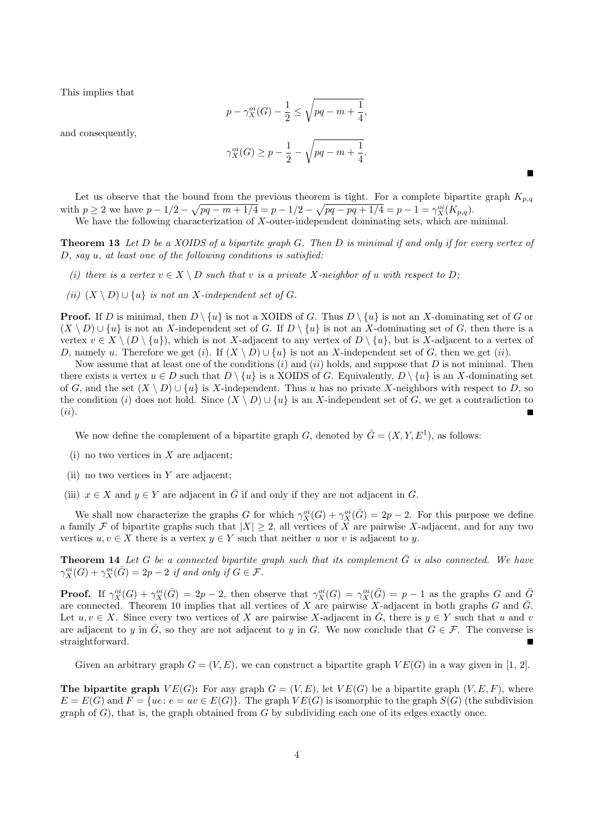This implies that

$$
p - \gamma_X^{oi}(G) - \frac{1}{2} \le \sqrt{pq - m + \frac{1}{4}},
$$

and consequently,

$$
\gamma_X^{oi}(G) \ge p - \frac{1}{2} - \sqrt{pq - m + \frac{1}{4}}.
$$

Let us observe that the bound from the previous theorem is tight. For a complete bipartite graph  $K_{p,q}$ with  $p \ge 2$  we have  $p - 1/2 - \sqrt{pq - m + 1/4} = p - 1/2 - \sqrt{pq - pq + 1/4} = p - 1 = \gamma_X^{oi}(K_{p,q}).$ We have the following characterization of X-outer-independent dominating sets, which are minimal.

**Theorem 13** *Let* D *be a XOIDS of a bipartite graph* G*. Then* D *is minimal if and only if for every vertex of* D*, say* u*, at least one of the following conditions is satisfied:*

- *(i)* there is a vertex  $v \in X \setminus D$  such that v is a private X-neighbor of u with respect to D;
- *(ii)*  $(X \setminus D) ∪ {u}$  *is not an* X-independent set of G.

**Proof.** If D is minimal, then  $D \setminus \{u\}$  is not a XOIDS of G. Thus  $D \setminus \{u\}$  is not an X-dominating set of G or  $(X \setminus D) \cup \{u\}$  is not an X-independent set of G. If  $D \setminus \{u\}$  is not an X-dominating set of G, then there is a vertex  $v \in X \setminus (D \setminus \{u\})$ , which is not X-adjacent to any vertex of  $D \setminus \{u\}$ , but is X-adjacent to a vertex of D, namely u. Therefore we get (i). If  $(X \setminus D) \cup \{u\}$  is not an X-independent set of G, then we get (ii).

Now assume that at least one of the conditions  $(i)$  and  $(ii)$  holds, and suppose that D is not minimal. Then there exists a vertex  $u \in D$  such that  $D \setminus \{u\}$  is a XOIDS of G. Equivalently,  $D \setminus \{u\}$  is an X-dominating set of G, and the set  $(X \setminus D) \cup \{u\}$  is X-independent. Thus u has no private X-neighbors with respect to D, so the condition (i) does not hold. Since  $(X \setminus D) \cup \{u\}$  is an X-independent set of G, we get a contradiction to  $(ii).$ 

We now define the complement of a bipartite graph G, denoted by  $\overline{G} = (X, Y, E^1)$ , as follows:

- (i) no two vertices in  $X$  are adjacent;
- (ii) no two vertices in Y are adjacent;
- (iii)  $x \in X$  and  $y \in Y$  are adjacent in  $\overline{G}$  if and only if they are not adjacent in G.

We shall now characterize the graphs G for which  $\gamma_X^{oi}(G) + \gamma_X^{oi}(\bar{G}) = 2p - 2$ . For this purpose we define a family F of bipartite graphs such that  $|X| \geq 2$ , all vertices of X are pairwise X-adjacent, and for any two vertices  $u, v \in X$  there is a vertex  $y \in Y$  such that neither u nor v is adjacent to y.

**Theorem 14** Let G be a connected bipartite graph such that its complement  $\overline{G}$  is also connected. We have  $\gamma_X^{oi}(G) + \gamma_X^{oi}(\bar{G}) = 2p - 2$  *if and only if*  $G \in \mathcal{F}$ .

**Proof.** If  $\gamma_X^{oi}(G) + \gamma_X^{oi}(\bar{G}) = 2p - 2$ , then observe that  $\gamma_X^{oi}(G) = \gamma_X^{oi}(\bar{G}) = p - 1$  as the graphs G and  $\bar{G}$ are connected. Theorem 10 implies that all vertices of X are pairwise X-adjacent in both graphs G and  $\bar{G}$ . Let  $u, v \in X$ . Since every two vertices of X are pairwise X-adjacent in  $\overline{G}$ , there is  $y \in Y$  such that u and v are adjacent to y in  $\overline{G}$ , so they are not adjacent to y in G. We now conclude that  $G \in \mathcal{F}$ . The converse is straightforward.

Given an arbitrary graph  $G = (V, E)$ , we can construct a bipartite graph  $VE(G)$  in a way given in [1, 2].

**The bipartite graph**  $VE(G)$ : For any graph  $G = (V, E)$ , let  $VE(G)$  be a bipartite graph  $(V, E, F)$ , where  $E = E(G)$  and  $F = \{ue : e = uv \in E(G)\}.$  The graph  $VE(G)$  is isomorphic to the graph  $S(G)$  (the subdivision graph of  $G$ ), that is, the graph obtained from  $G$  by subdividing each one of its edges exactly once.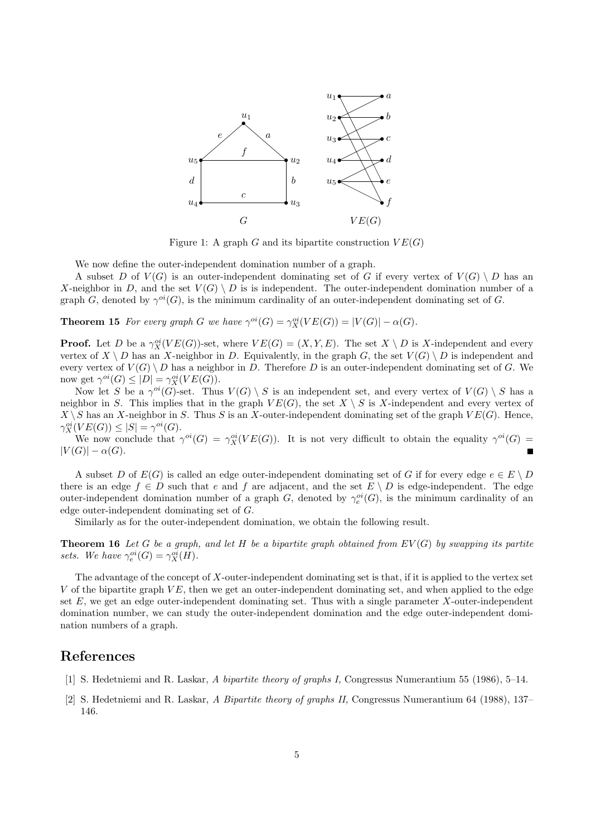

Figure 1: A graph G and its bipartite construction  $VE(G)$ 

We now define the outer-independent domination number of a graph.

A subset D of  $V(G)$  is an outer-independent dominating set of G if every vertex of  $V(G) \setminus D$  has an X-neighbor in D, and the set  $V(G) \setminus D$  is is independent. The outer-independent domination number of a graph G, denoted by  $\gamma^{oi}(G)$ , is the minimum cardinality of an outer-independent dominating set of G.

**Theorem 15** *For every graph* G *we have*  $\gamma^{oi}(G) = \gamma_X^{oi}(VE(G)) = |V(G)| - \alpha(G)$ *.* 

**Proof.** Let D be a  $\gamma_X^{oi}(VE(G))$ -set, where  $VE(G) = (X, Y, E)$ . The set  $X \setminus D$  is X-independent and every vertex of  $X \setminus D$  has an X-neighbor in D. Equivalently, in the graph G, the set  $V(G) \setminus D$  is independent and every vertex of  $V(G) \setminus D$  has a neighbor in D. Therefore D is an outer-independent dominating set of G. We now get  $\gamma^{oi}(G) \leq |D| = \gamma_X^{oi}(VE(G)).$ 

Now let S be a  $\gamma^{oi}(G)$ -set. Thus  $V(G) \setminus S$  is an independent set, and every vertex of  $V(G) \setminus S$  has a neighbor in S. This implies that in the graph  $VE(G)$ , the set  $X \setminus S$  is X-independent and every vertex of  $X \setminus S$  has an X-neighbor in S. Thus S is an X-outer-independent dominating set of the graph  $VE(G)$ . Hence,  $\gamma_X^{oi}(VE(G)) \leq |S| = \gamma^{oi}(G).$ 

We now conclude that  $\gamma^{oi}(G) = \gamma_X^{oi}(VE(G))$ . It is not very difficult to obtain the equality  $\gamma^{oi}(G)$  $|V(G)| - \alpha(G).$  $\blacksquare$ 

A subset D of  $E(G)$  is called an edge outer-independent dominating set of G if for every edge  $e \in E \setminus D$ there is an edge  $f \in D$  such that e and f are adjacent, and the set  $E \setminus D$  is edge-independent. The edge outer-independent domination number of a graph G, denoted by  $\gamma_e^{oi}(G)$ , is the minimum cardinality of an edge outer-independent dominating set of G.

Similarly as for the outer-independent domination, we obtain the following result.

**Theorem 16** *Let* G *be a graph, and let* H *be a bipartite graph obtained from* EV (G) *by swapping its partite* sets. We have  $\gamma_e^{oi}(G) = \gamma_X^{oi}(H)$ .

The advantage of the concept of X-outer-independent dominating set is that, if it is applied to the vertex set V of the bipartite graph  $VE$ , then we get an outer-independent dominating set, and when applied to the edge set  $E$ , we get an edge outer-independent dominating set. Thus with a single parameter  $X$ -outer-independent domination number, we can study the outer-independent domination and the edge outer-independent domination numbers of a graph.

## **References**

- [1] S. Hedetniemi and R. Laskar, *A bipartite theory of graphs I,* Congressus Numerantium 55 (1986), 5–14.
- [2] S. Hedetniemi and R. Laskar, *A Bipartite theory of graphs II,* Congressus Numerantium 64 (1988), 137– 146.